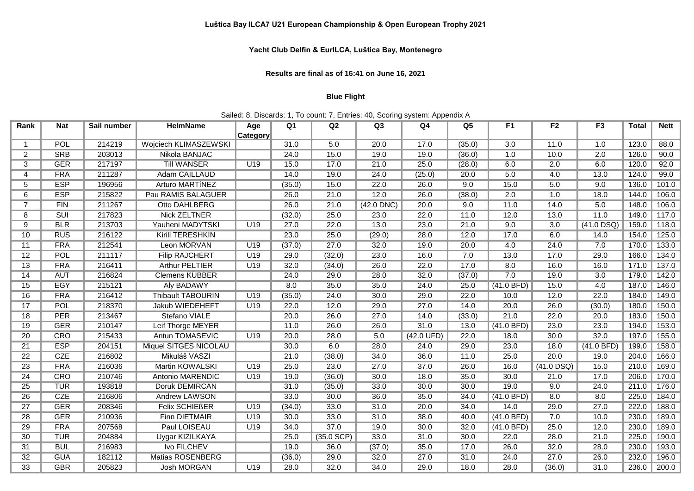## **Yacht Club Delfin & EurILCA, Luštica Bay, Montenegro**

**Results are final as of 16:41 on June 16, 2021**

## **Blue Flight**

## Sailed: 8, Discards: 1, To count: 7, Entries: 40, Scoring system: Appendix A

| Rank            | <b>Nat</b>      | Sail number | <b>HelmName</b>          | Age | Q <sub>1</sub> | Q2           | Q3           | Q4                   | Q <sub>5</sub> | F1               | F <sub>2</sub> | F <sub>3</sub> | <b>Total</b> | <b>Nett</b> |
|-----------------|-----------------|-------------|--------------------------|-----|----------------|--------------|--------------|----------------------|----------------|------------------|----------------|----------------|--------------|-------------|
|                 | <b>Category</b> |             |                          |     |                |              |              |                      |                |                  |                |                |              |             |
| 1               | POL             | 214219      | Wojciech KLIMASZEWSKI    |     | 31.0           | 5.0          | 20.0         | 17.0                 | (35.0)         | $\overline{3.0}$ | 11.0           | 1.0            | 123.0        | 88.0        |
| $\overline{2}$  | <b>SRB</b>      | 203013      | Nikola BANJAC            |     | 24.0           | 15.0         | 19.0         | 19.0                 | (36.0)         | 1.0              | 10.0           | 2.0            | 126.0        | 90.0        |
| 3               | <b>GER</b>      | 217197      | <b>Till WANSER</b>       | U19 | 15.0           | 17.0         | 21.0         | 25.0                 | (28.0)         | 6.0              | 2.0            | 6.0            | 120.0        | 92.0        |
| 4               | <b>FRA</b>      | 211287      | Adam CAILLAUD            |     | 14.0           | 19.0         | 24.0         | (25.0)               | 20.0           | 5.0              | 4.0            | 13.0           | 124.0        | 99.0        |
| 5               | <b>ESP</b>      | 196956      | Arturo MARTÍNEZ          |     | (35.0)         | 15.0         | 22.0         | 26.0                 | 9.0            | 15.0             | 5.0            | 9.0            | 136.0        | 101.0       |
| 6               | <b>ESP</b>      | 215822      | Pau RAMIS BALAGUER       |     | 26.0           | 21.0         | 12.0         | 26.0                 | (38.0)         | 2.0              | 1.0            | 18.0           | 144.0        | 106.0       |
| $\overline{7}$  | FIN             | 211267      | Otto DAHLBERG            |     | 26.0           | 21.0         | $(42.0$ DNC) | 20.0                 | 9.0            | 11.0             | 14.0           | 5.0            | 148.0        | 106.0       |
| 8               | SUI             | 217823      | <b>Nick ZELTNER</b>      |     | (32.0)         | 25.0         | 23.0         | 22.0                 | 11.0           | 12.0             | 13.0           | 11.0           | 149.0        | 117.0       |
| 9               | <b>BLR</b>      | 213703      | Yauheni MADYTSKI         | U19 | 27.0           | 22.0         | 13.0         | 23.0                 | 21.0           | 9.0              | 3.0            | $(41.0$ DSQ)   | 159.0        | 118.0       |
| 10              | <b>RUS</b>      | 216122      | <b>Kirill TERESHKIN</b>  |     | 23.0           | 25.0         | (29.0)       | 28.0                 | 12.0           | 17.0             | 6.0            | 14.0           | 154.0        | 125.0       |
| 11              | <b>FRA</b>      | 212541      | Leon MORVAN              | U19 | (37.0)         | 27.0         | 32.0         | 19.0                 | 20.0           | 4.0              | 24.0           | 7.0            | 170.0        | 133.0       |
| $\overline{12}$ | POL             | 211117      | <b>Filip RAJCHERT</b>    | U19 | 29.0           | (32.0)       | 23.0         | 16.0                 | 7.0            | 13.0             | 17.0           | 29.0           | 166.0        | 134.0       |
| $\overline{13}$ | <b>FRA</b>      | 216411      | <b>Arthur PELTIER</b>    | U19 | 32.0           | (34.0)       | 26.0         | 22.0                 | 17.0           | 8.0              | 16.0           | 16.0           | 171.0        | 137.0       |
| 14              | <b>AUT</b>      | 216824      | <b>Clemens KÜBBER</b>    |     | 24.0           | 29.0         | 28.0         | 32.0                 | (37.0)         | 7.0              | 19.0           | 3.0            | 179.0        | 142.0       |
| 15              | <b>EGY</b>      | 215121      | <b>Aly BADAWY</b>        |     | 8.0            | 35.0         | 35.0         | 24.0                 | 25.0           | (41.0 BFD)       | 15.0           | 4.0            | 187.0        | 146.0       |
| 16              | <b>FRA</b>      | 216412      | <b>Thibault TABOURIN</b> | U19 | (35.0)         | 24.0         | 30.0         | 29.0                 | 22.0           | 10.0             | 12.0           | 22.0           | 184.0        | 149.0       |
| 17              | POL             | 218370      | Jakub WIEDEHEFT          | U19 | 22.0           | 12.0         | 29.0         | 27.0                 | 14.0           | 20.0             | 26.0           | (30.0)         | 180.0        | 150.0       |
| $\overline{18}$ | <b>PER</b>      | 213467      | Stefano VIALE            |     | 20.0           | 26.0         | 27.0         | 14.0                 | (33.0)         | 21.0             | 22.0           | 20.0           | 183.0        | 150.0       |
| 19              | <b>GER</b>      | 210147      | Leif Thorge MEYER        |     | 11.0           | 26.0         | 26.0         | 31.0                 | 13.0           | (41.0 BFD)       | 23.0           | 23.0           | 194.0        | 153.0       |
| 20              | CRO             | 215433      | Antun TOMASEVIC          | U19 | 20.0           | 28.0         | 5.0          | $(42.0 \text{ UFD})$ | 22.0           | 18.0             | 30.0           | 32.0           | 197.0        | 155.0       |
| 21              | <b>ESP</b>      | 204151      | Miquel SITGES NICOLAU    |     | 30.0           | 6.0          | 28.0         | 24.0                 | 29.0           | 23.0             | 18.0           | (41.0 BFD)     | 199.0        | 158.0       |
| 22              | <b>CZE</b>      | 216802      | Mikuláš VASZI            |     | 21.0           | (38.0)       | 34.0         | 36.0                 | 11.0           | 25.0             | 20.0           | 19.0           | 204.0        | 166.0       |
| $\overline{23}$ | <b>FRA</b>      | 216036      | <b>Martin KOWALSKI</b>   | U19 | 25.0           | 23.0         | 27.0         | 37.0                 | 26.0           | 16.0             | $(41.0$ DSQ)   | 15.0           | 210.0        | 169.0       |
| $\overline{24}$ | <b>CRO</b>      | 210746      | Antonio MARENDIC         | U19 | 19.0           | (36.0)       | 30.0         | 18.0                 | 35.0           | 30.0             | 21.0           | 17.0           | 206.0        | 170.0       |
| $\overline{25}$ | <b>TUR</b>      | 193818      | Doruk DEMIRCAN           |     | 31.0           | (35.0)       | 33.0         | 30.0                 | 30.0           | 19.0             | 9.0            | 24.0           | 211.0        | 176.0       |
| $\overline{26}$ | CZE             | 216806      | <b>Andrew LAWSON</b>     |     | 33.0           | 30.0         | 36.0         | 35.0                 | 34.0           | (41.0 BFD)       | 8.0            | 8.0            | 225.0        | 184.0       |
| $\overline{27}$ | <b>GER</b>      | 208346      | <b>Felix SCHIEßER</b>    | U19 | (34.0)         | 33.0         | 31.0         | 20.0                 | 34.0           | 14.0             | 29.0           | 27.0           | 222.0        | 188.0       |
| $\overline{28}$ | <b>GER</b>      | 210936      | <b>Finn DIETMAIR</b>     | U19 | 30.0           | 33.0         | 31.0         | 38.0                 | 40.0           | (41.0 BFD)       | 7.0            | 10.0           | 230.0        | 189.0       |
| 29              | <b>FRA</b>      | 207568      | Paul LOISEAU             | U19 | 34.0           | 37.0         | 19.0         | 30.0                 | 32.0           | (41.0 BFD)       | 25.0           | 12.0           | 230.0        | 189.0       |
| 30              | <b>TUR</b>      | 204884      | <b>Uygar KIZILKAYA</b>   |     | 25.0           | $(35.0$ SCP) | 33.0         | 31.0                 | 30.0           | 22.0             | 28.0           | 21.0           | 225.0        | 190.0       |
| 31              | <b>BUL</b>      | 216983      | <b>Ivo FILCHEV</b>       |     | 19.0           | 36.0         | (37.0)       | 35.0                 | 17.0           | 26.0             | 32.0           | 28.0           | 230.0        | 193.0       |
| 32              | <b>GUA</b>      | 182112      | <b>Matias ROSENBERG</b>  |     | (36.0)         | 29.0         | 32.0         | 27.0                 | 31.0           | 24.0             | 27.0           | 26.0           | 232.0        | 196.0       |
| $\overline{33}$ | <b>GBR</b>      | 205823      | <b>Josh MORGAN</b>       | U19 | 28.0           | 32.0         | 34.0         | 29.0                 | 18.0           | 28.0             | (36.0)         | 31.0           | 236.0        | 200.0       |